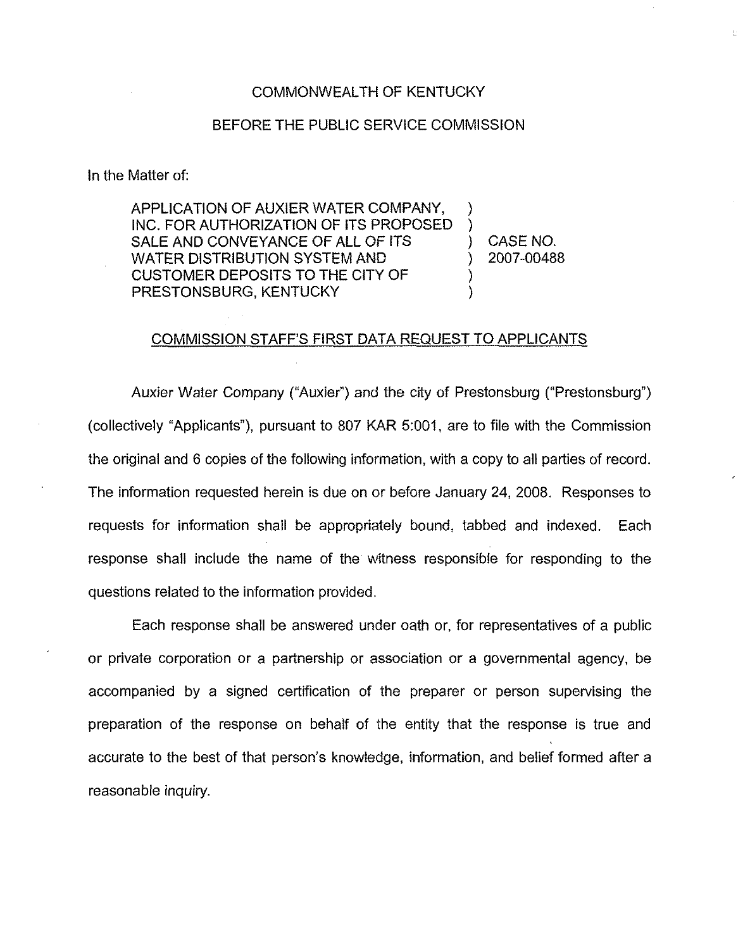## COMMONWEALTH OF KENTUCKY

## BEFORE THE PUBLIC SERVICE COMMISSION

## In the Matter of:

APPLICATION OF AUXIER WATER COMPANY, INC. FOR AUTHORIZATION OF iTS PROPOSED SALE AND CONVEYANCE OF ALL OF ITS WATER DISTRIBUTION SYSTEM AND CUSTOMER DEPOSITS TO THE CITY OF PRESTONSBURG, KENTUCKY

) CASE NO. ) 2007-00488 ţ.

) )

) )

## COMMISSION STAFF'S FIRST DATA REQUEST TO APPLICANTS

Auxier Water Company ("Auxier") and the city of Prestonsburg ("Prestonsburg") (collectively "Applicants"), pursuant to 807 KAR 5:001, are to file with the Commission the original and 6 copies of the following information, with a copy to all parties of record. The information requested herein is due on or before January 24, 2008. Responses to requests for information shall be appropriately bound, tabbed and indexed. Each response shall include the name of the witness responsible for responding to the questions related to the information provided.

Each response shall be answered under oath or, for representatives of a public or private corporation or a partnership or association or a governmental agency, be accompanied by a signed certification of the preparer or person supervising the preparation of the response on behalf of the entity that the response is true and accurate to the best of that person's knowledge, information, and belief formed after a reasonable inquiry.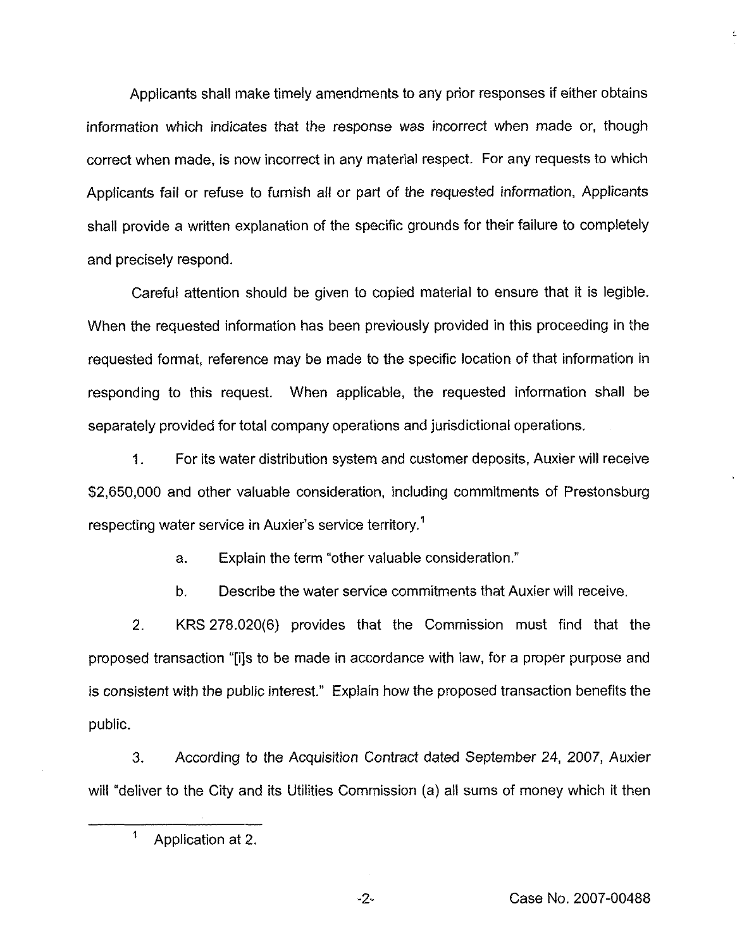Applicants shall make timely amendments to any prior responses if either obtains information which indicates that the response was incorrect when made or, though correct when made, is now incorrect in any material respect. For any requests to which Applicants fail or refuse to furnish all or part of the requested information, Applicants shall provide a written explanation of the specific grounds for their failure to completely and precisely respond.

Careful attention should be given to copied material to ensure that it is legible. When the requested information has been previously provided in this proceeding in the requested format, reference may be made to the specific location of that information in responding to this request. When applicable, the requested information shall be separately provided for total company operations and jurisdictional operations.

1. For its water distribution system and customer deposits, Auxier will receive \$2,650,000 and other valuable consideration, including commitments of Prestonsburg respecting water service in Auxier's service territory.<sup>1</sup>

a. Explain the term "other valuable consideration."

b. Describe the water service commitments that Auxier will receive.

2. KRS 278.020(6) provides that the Commission must find that the proposed transaction "[i]s to be made in accordance with law, for a proper purpose and is consistent with the public interest." Explain how the proposed transaction benefits the public.

3. According to the Acquisition Contract dated September 24, 2007, Auxier will "deliver to the City and its Utilities Commission (a) all sums of money which it then

-2- Case No. 2007-00488

Ł.

 $\mathbf{1}$ Application at 2.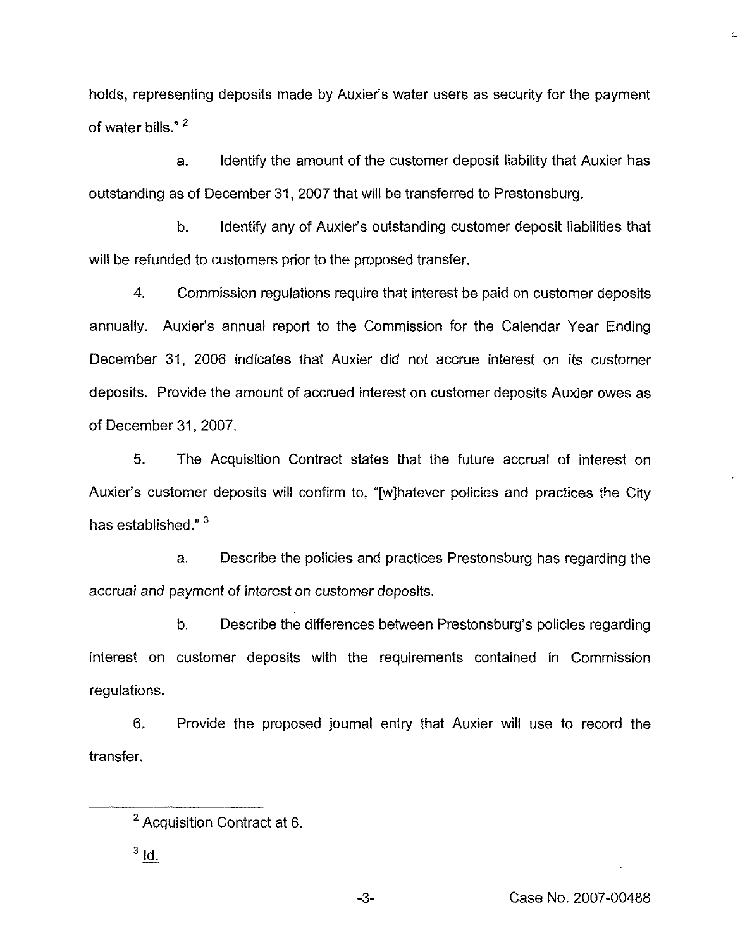holds, representing deposits made by Auxier's water users as security for the payment of water bills."<sup>2</sup>

a. Identify the amount of the customer deposit liability that Auxier has outstanding as of December 31, 2007 that will be transferred to Prestonsburg.

b. Identify any of Auxier's outstanding customer deposit liabilities that will be refunded to customers prior to the proposed transfer.

4. Commission regulations require that interest be paid on customer deposits annually. Auxier's annual report to the Commission for the Calendar Year Ending December 31, 2006 indicates that Auxier did not accrue interest on its customer deposits. Provide the amount of accrued interest on customer deposits Auxier owes as of December 31, 2007.

5. The Acquisition Contract states that the future accrual of interest on Auxier's customer deposits will confirm to, "[w]hatever policies and practices the City has established."<sup>3</sup>

a. Describe the policies and practices Prestonsburg has regarding the accrual and payment of interest on customer deposits.

b. Describe the differences between Prestonsburg's policies regarding interest on customer deposits with the requirements contained in Commission regulations.

6. Provide the proposed journal entry that Auxier will use to record the transfer.

È

<sup>&</sup>lt;sup>2</sup> Acquisition Contract at 6.

 $3$   $\underline{\mathsf{ld}}$ .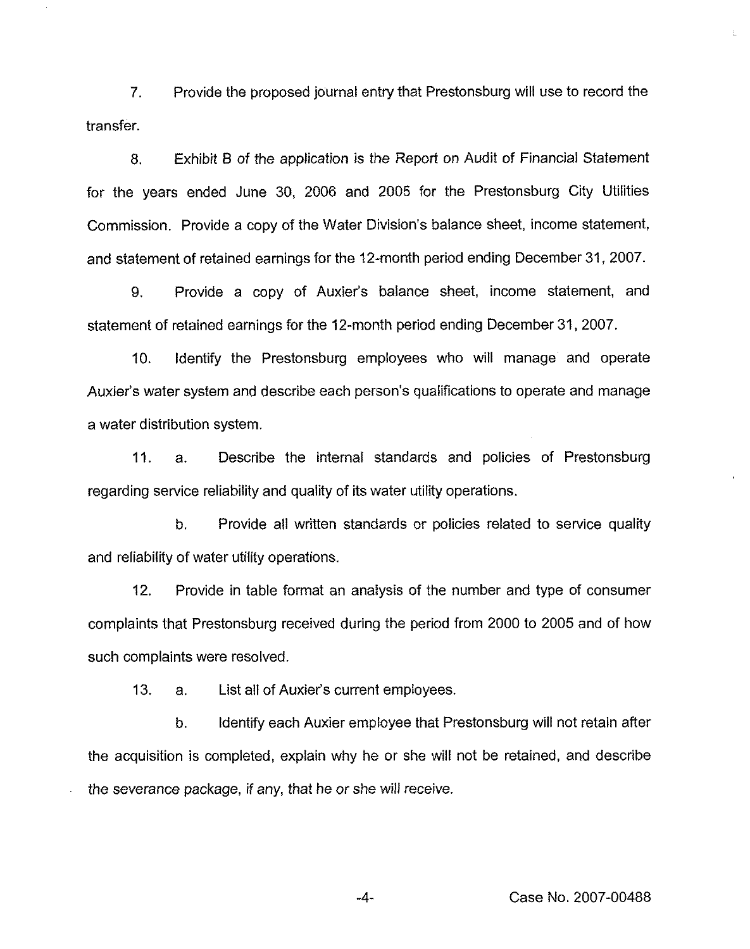7. Provide the proposed journal entry that Prestonsburg will use to record the transfer.

8. Exhibit B of the application is the Report on Audit of Financial Statement for the years ended June 30, 2006 and 2005 for the Prestonsburg City Utilities Commission. Provide a copy of the Water Division's balance sheet, income statement, and statement of retained earnings for the 12-month period ending December 31, 2007.

9. Provide a copy of Auxier's balance sheet, income statement, and statement of retained earnings for the 12-month period ending December 31, 2007.

10. Identify the Prestonsburg employees who will manage and operate Auxier's water system and describe each person's qualifications to operate and manage a water distribution system.

11. a. Describe the internal standards and policies of Prestonsburg regarding service reliability and quality of its water utility operations.

b. Provide all written standards or policies related to service quality and reliability of water utility operations.

12. Provide in table format an analysis of the number and type of consumer complaints that Prestonsburg received during the period from 2000 to 2005 and of how such complaints were resolved.

13. a. List ail of Auxier's current employees.

b. Identify each Auxier employee that Prestonsburg will not retain after the acquisition is completed, explain why he or she will not be retained, and describe the severance package, if any, that he or she will receive.

ŧ.

 $-4-$